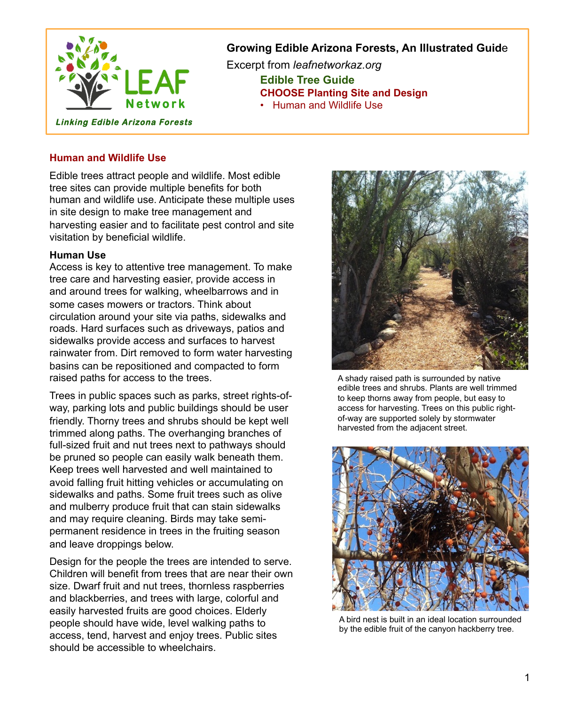

## **Growing Edible Arizona Forests, An Illustrated Guid**e

Excerpt from *leafnetworkaz.org*   **Edible Tree Guide CHOOSE Planting Site and Design**  • Human and Wildlife Use

**Human and Wildlife Use** 

Edible trees attract people and wildlife. Most edible tree sites can provide multiple benefits for both human and wildlife use. Anticipate these multiple uses in site design to make tree management and harvesting easier and to facilitate pest control and site visitation by beneficial wildlife.

## **Human Use**

Access is key to attentive tree management. To make tree care and harvesting easier, provide access in and around trees for walking, wheelbarrows and in some cases mowers or tractors. Think about circulation around your site via paths, sidewalks and roads. Hard surfaces such as driveways, patios and sidewalks provide access and surfaces to harvest rainwater from. Dirt removed to form water harvesting basins can be repositioned and compacted to form raised paths for access to the trees.

Trees in public spaces such as parks, street rights-ofway, parking lots and public buildings should be user friendly. Thorny trees and shrubs should be kept well trimmed along paths. The overhanging branches of full-sized fruit and nut trees next to pathways should be pruned so people can easily walk beneath them. Keep trees well harvested and well maintained to avoid falling fruit hitting vehicles or accumulating on sidewalks and paths. Some fruit trees such as olive and mulberry produce fruit that can stain sidewalks and may require cleaning. Birds may take semipermanent residence in trees in the fruiting season and leave droppings below.

Design for the people the trees are intended to serve. Children will benefit from trees that are near their own size. Dwarf fruit and nut trees, thornless raspberries and blackberries, and trees with large, colorful and easily harvested fruits are good choices. Elderly people should have wide, level walking paths to access, tend, harvest and enjoy trees. Public sites should be accessible to wheelchairs.



A shady raised path is surrounded by native edible trees and shrubs. Plants are well trimmed to keep thorns away from people, but easy to access for harvesting. Trees on this public rightof-way are supported solely by stormwater harvested from the adjacent street.



A bird nest is built in an ideal location surrounded by the edible fruit of the canyon hackberry tree.